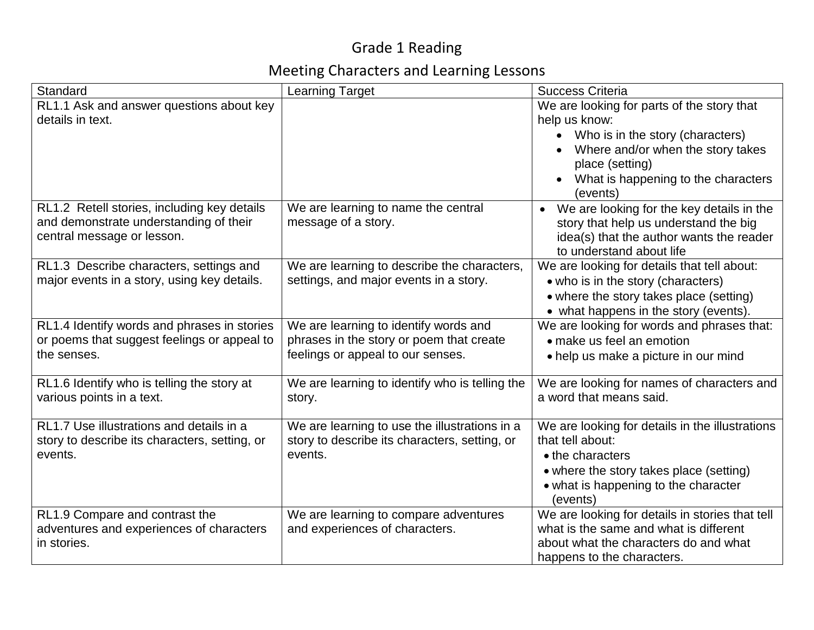## Grade 1 Reading

## Meeting Characters and Learning Lessons

| Standard                                                                                                            | <b>Learning Target</b>                                                                                                 | <b>Success Criteria</b>                                                                                                                                                                                                              |
|---------------------------------------------------------------------------------------------------------------------|------------------------------------------------------------------------------------------------------------------------|--------------------------------------------------------------------------------------------------------------------------------------------------------------------------------------------------------------------------------------|
| RL1.1 Ask and answer questions about key<br>details in text.                                                        |                                                                                                                        | We are looking for parts of the story that<br>help us know:<br>Who is in the story (characters)<br>$\bullet$<br>Where and/or when the story takes<br>place (setting)<br>What is happening to the characters<br>$\bullet$<br>(events) |
| RL1.2 Retell stories, including key details<br>and demonstrate understanding of their<br>central message or lesson. | We are learning to name the central<br>message of a story.                                                             | We are looking for the key details in the<br>$\bullet$<br>story that help us understand the big<br>idea(s) that the author wants the reader<br>to understand about life                                                              |
| RL1.3 Describe characters, settings and<br>major events in a story, using key details.                              | We are learning to describe the characters,<br>settings, and major events in a story.                                  | We are looking for details that tell about:<br>• who is in the story (characters)<br>• where the story takes place (setting)<br>• what happens in the story (events).                                                                |
| RL1.4 Identify words and phrases in stories<br>or poems that suggest feelings or appeal to<br>the senses.           | We are learning to identify words and<br>phrases in the story or poem that create<br>feelings or appeal to our senses. | We are looking for words and phrases that:<br>• make us feel an emotion<br>• help us make a picture in our mind                                                                                                                      |
| RL1.6 Identify who is telling the story at<br>various points in a text.                                             | We are learning to identify who is telling the<br>story.                                                               | We are looking for names of characters and<br>a word that means said.                                                                                                                                                                |
| RL1.7 Use illustrations and details in a<br>story to describe its characters, setting, or<br>events.                | We are learning to use the illustrations in a<br>story to describe its characters, setting, or<br>events.              | We are looking for details in the illustrations<br>that tell about:<br>• the characters<br>• where the story takes place (setting)<br>• what is happening to the character<br>(events)                                               |
| RL1.9 Compare and contrast the<br>adventures and experiences of characters<br>in stories.                           | We are learning to compare adventures<br>and experiences of characters.                                                | We are looking for details in stories that tell<br>what is the same and what is different<br>about what the characters do and what<br>happens to the characters.                                                                     |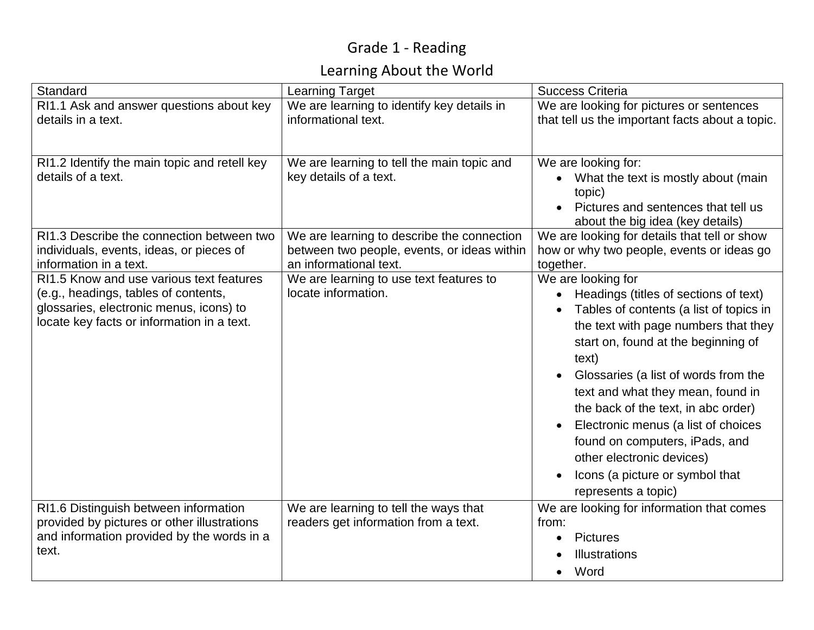## Grade 1 - Reading

## Learning About the World

| Standard                                                                                                                                                                  | <b>Learning Target</b>                                                                                              | Success Criteria                                                                                                                                                                                                                                                                                                                                                                                                                                                                                |
|---------------------------------------------------------------------------------------------------------------------------------------------------------------------------|---------------------------------------------------------------------------------------------------------------------|-------------------------------------------------------------------------------------------------------------------------------------------------------------------------------------------------------------------------------------------------------------------------------------------------------------------------------------------------------------------------------------------------------------------------------------------------------------------------------------------------|
| RI1.1 Ask and answer questions about key<br>details in a text.                                                                                                            | We are learning to identify key details in<br>informational text.                                                   | We are looking for pictures or sentences<br>that tell us the important facts about a topic.                                                                                                                                                                                                                                                                                                                                                                                                     |
| RI1.2 Identify the main topic and retell key<br>details of a text.                                                                                                        | We are learning to tell the main topic and<br>key details of a text.                                                | We are looking for:<br>What the text is mostly about (main<br>topic)<br>Pictures and sentences that tell us<br>about the big idea (key details)                                                                                                                                                                                                                                                                                                                                                 |
| RI1.3 Describe the connection between two<br>individuals, events, ideas, or pieces of<br>information in a text.                                                           | We are learning to describe the connection<br>between two people, events, or ideas within<br>an informational text. | We are looking for details that tell or show<br>how or why two people, events or ideas go<br>together.                                                                                                                                                                                                                                                                                                                                                                                          |
| RI1.5 Know and use various text features<br>(e.g., headings, tables of contents,<br>glossaries, electronic menus, icons) to<br>locate key facts or information in a text. | We are learning to use text features to<br>locate information.                                                      | We are looking for<br>Headings (titles of sections of text)<br>Tables of contents (a list of topics in<br>the text with page numbers that they<br>start on, found at the beginning of<br>text)<br>Glossaries (a list of words from the<br>text and what they mean, found in<br>the back of the text, in abc order)<br>Electronic menus (a list of choices<br>$\bullet$<br>found on computers, iPads, and<br>other electronic devices)<br>Icons (a picture or symbol that<br>represents a topic) |
| RI1.6 Distinguish between information<br>provided by pictures or other illustrations<br>and information provided by the words in a<br>text.                               | We are learning to tell the ways that<br>readers get information from a text.                                       | We are looking for information that comes<br>from:<br><b>Pictures</b><br>$\bullet$<br>Illustrations<br>Word<br>$\bullet$                                                                                                                                                                                                                                                                                                                                                                        |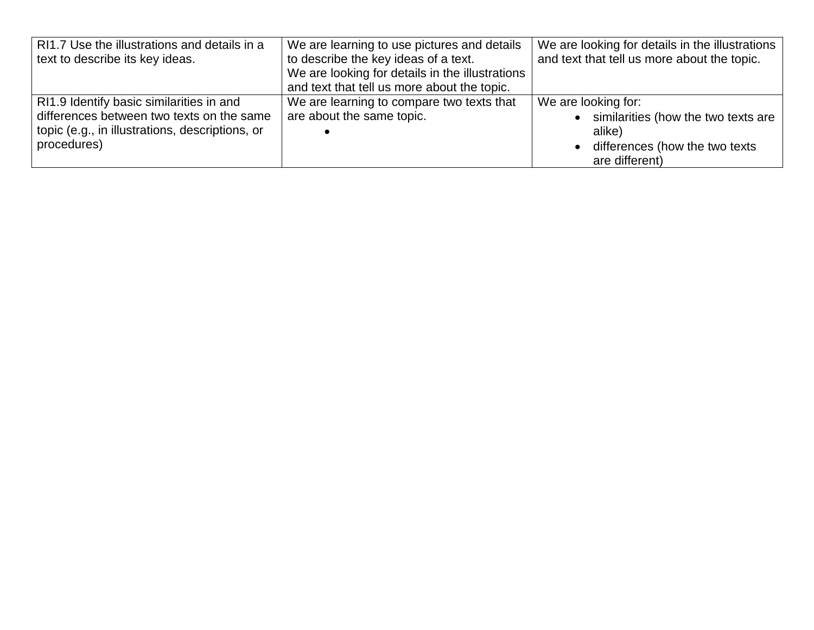| RI1.7 Use the illustrations and details in a    | We are learning to use pictures and details     | We are looking for details in the illustrations |
|-------------------------------------------------|-------------------------------------------------|-------------------------------------------------|
| text to describe its key ideas.                 | to describe the key ideas of a text.            | and text that tell us more about the topic.     |
|                                                 | We are looking for details in the illustrations |                                                 |
|                                                 | and text that tell us more about the topic.     |                                                 |
| RI1.9 Identify basic similarities in and        | We are learning to compare two texts that       | We are looking for:                             |
| differences between two texts on the same       | are about the same topic.                       | • similarities (how the two texts are           |
| topic (e.g., in illustrations, descriptions, or |                                                 | alike)                                          |
| procedures)                                     |                                                 | • differences (how the two texts                |
|                                                 |                                                 | are different)                                  |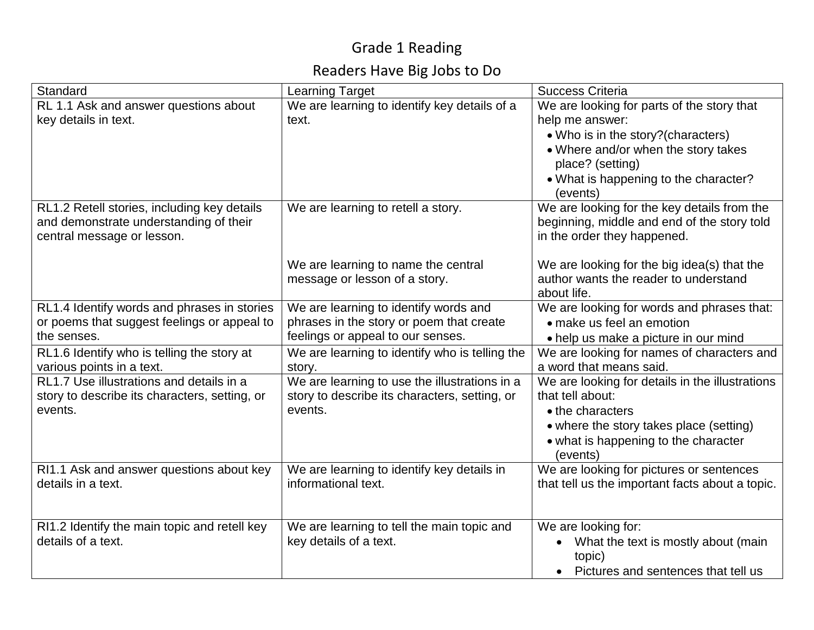## Grade 1 Reading

### Readers Have Big Jobs to Do

| Standard                                                                | <b>Learning Target</b>                                   | <b>Success Criteria</b>                                               |
|-------------------------------------------------------------------------|----------------------------------------------------------|-----------------------------------------------------------------------|
| RL 1.1 Ask and answer questions about                                   | We are learning to identify key details of a             | We are looking for parts of the story that                            |
| key details in text.                                                    | text.                                                    | help me answer:                                                       |
|                                                                         |                                                          | • Who is in the story? (characters)                                   |
|                                                                         |                                                          | • Where and/or when the story takes                                   |
|                                                                         |                                                          | place? (setting)<br>• What is happening to the character?             |
|                                                                         |                                                          | (events)                                                              |
| RL1.2 Retell stories, including key details                             | We are learning to retell a story.                       | We are looking for the key details from the                           |
| and demonstrate understanding of their                                  |                                                          | beginning, middle and end of the story told                           |
| central message or lesson.                                              |                                                          | in the order they happened.                                           |
|                                                                         | We are learning to name the central                      | We are looking for the big idea(s) that the                           |
|                                                                         | message or lesson of a story.                            | author wants the reader to understand                                 |
|                                                                         |                                                          | about life.                                                           |
| RL1.4 Identify words and phrases in stories                             | We are learning to identify words and                    | We are looking for words and phrases that:                            |
| or poems that suggest feelings or appeal to                             | phrases in the story or poem that create                 | • make us feel an emotion                                             |
| the senses.                                                             | feelings or appeal to our senses.                        | • help us make a picture in our mind                                  |
| RL1.6 Identify who is telling the story at<br>various points in a text. | We are learning to identify who is telling the<br>story. | We are looking for names of characters and<br>a word that means said. |
| RL1.7 Use illustrations and details in a                                | We are learning to use the illustrations in a            | We are looking for details in the illustrations                       |
| story to describe its characters, setting, or                           | story to describe its characters, setting, or            | that tell about:                                                      |
| events.                                                                 | events.                                                  | • the characters                                                      |
|                                                                         |                                                          | • where the story takes place (setting)                               |
|                                                                         |                                                          | • what is happening to the character<br>(events)                      |
| RI1.1 Ask and answer questions about key                                | We are learning to identify key details in               | We are looking for pictures or sentences                              |
| details in a text.                                                      | informational text.                                      | that tell us the important facts about a topic.                       |
|                                                                         |                                                          |                                                                       |
| RI1.2 Identify the main topic and retell key                            | We are learning to tell the main topic and               | We are looking for:                                                   |
| details of a text.                                                      | key details of a text.                                   | What the text is mostly about (main<br>$\bullet$                      |
|                                                                         |                                                          | topic)                                                                |
|                                                                         |                                                          | • Pictures and sentences that tell us                                 |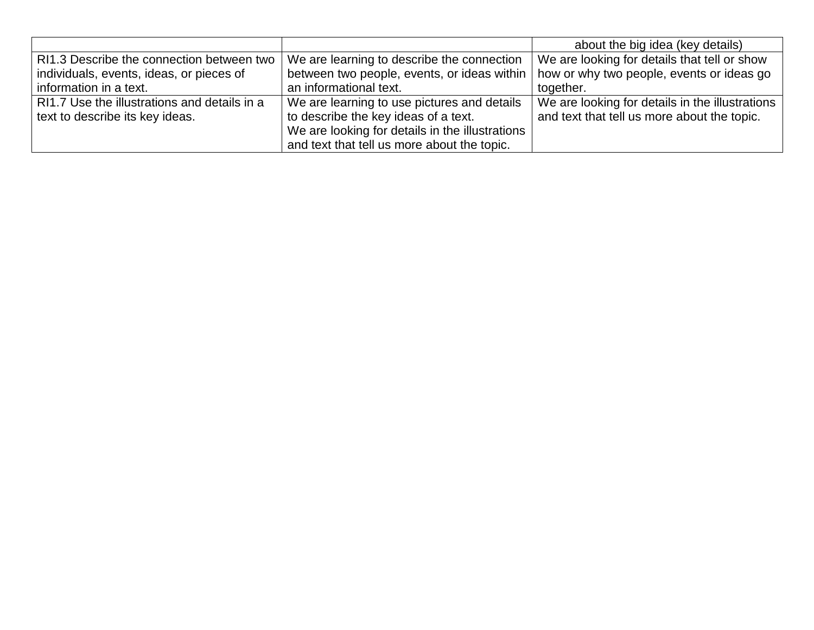|                                              |                                                 | about the big idea (key details)                |
|----------------------------------------------|-------------------------------------------------|-------------------------------------------------|
| RI1.3 Describe the connection between two    | We are learning to describe the connection      | We are looking for details that tell or show    |
| individuals, events, ideas, or pieces of     | between two people, events, or ideas within     | how or why two people, events or ideas go       |
| information in a text.                       | an informational text.                          | together.                                       |
| RI1.7 Use the illustrations and details in a | We are learning to use pictures and details     | We are looking for details in the illustrations |
| text to describe its key ideas.              | to describe the key ideas of a text.            | and text that tell us more about the topic.     |
|                                              | We are looking for details in the illustrations |                                                 |
|                                              | and text that tell us more about the topic.     |                                                 |